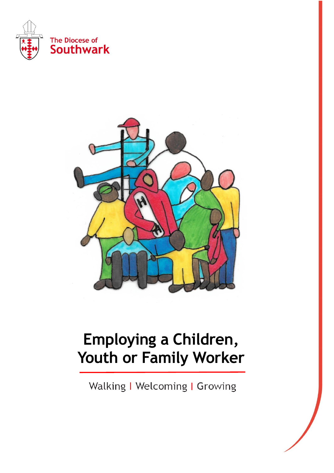



# **Employing a Children, Youth or Family Worker**

Walking | Welcoming | Growing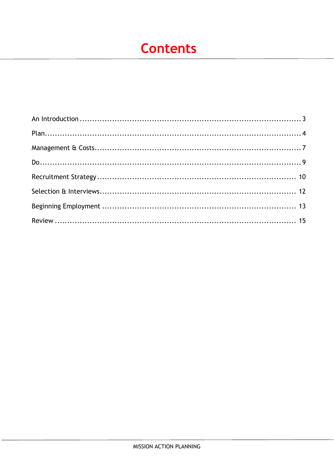# **Contents**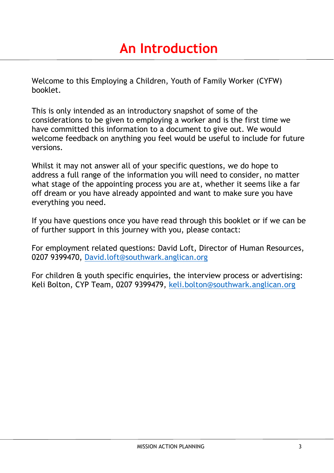<span id="page-2-0"></span>Welcome to this Employing a Children, Youth of Family Worker (CYFW) booklet.

This is only intended as an introductory snapshot of some of the considerations to be given to employing a worker and is the first time we have committed this information to a document to give out. We would welcome feedback on anything you feel would be useful to include for future versions.

Whilst it may not answer all of your specific questions, we do hope to address a full range of the information you will need to consider, no matter what stage of the appointing process you are at, whether it seems like a far off dream or you have already appointed and want to make sure you have everything you need.

If you have questions once you have read through this booklet or if we can be of further support in this journey with you, please contact:

For employment related questions: David Loft, Director of Human Resources, 0207 9399470, [David.loft@southwark.anglican.org](mailto:David.loft@southwark.anglican.org)

For children & youth specific enquiries, the interview process or advertising: Keli Bolton, CYP Team, 0207 9399479, [keli.bolton@southwark.anglican.org](mailto:keli.bolton@southwark.anglican.org)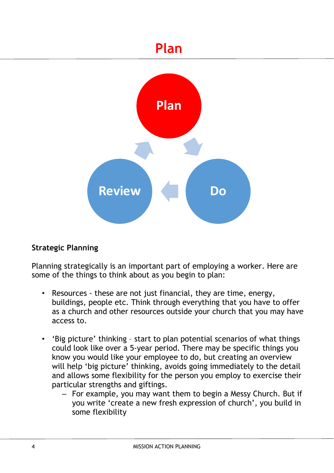# **Plan**

<span id="page-3-0"></span>

# **Strategic Planning**

Planning strategically is an important part of employing a worker. Here are some of the things to think about as you begin to plan:

- Resources these are not just financial, they are time, energy, buildings, people etc. Think through everything that you have to offer as a church and other resources outside your church that you may have access to.
- 'Big picture' thinking start to plan potential scenarios of what things could look like over a 5-year period. There may be specific things you know you would like your employee to do, but creating an overview will help 'big picture' thinking, avoids going immediately to the detail and allows some flexibility for the person you employ to exercise their particular strengths and giftings.
	- For example, you may want them to begin a Messy Church. But if you write 'create a new fresh expression of church', you build in some flexibility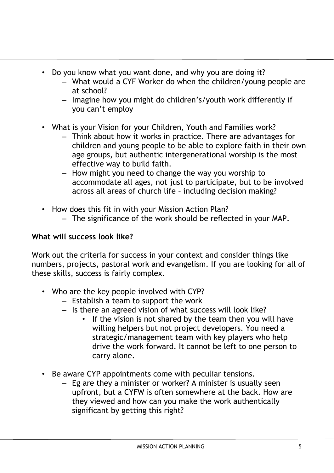- Do you know what you want done, and why you are doing it?
	- What would a CYF Worker do when the children/young people are at school?
	- Imagine how you might do children's/youth work differently if you can't employ
- What is your Vision for your Children, Youth and Families work?
	- Think about how it works in practice. There are advantages for children and young people to be able to explore faith in their own age groups, but authentic intergenerational worship is the most effective way to build faith.
	- How might you need to change the way you worship to accommodate all ages, not just to participate, but to be involved across all areas of church life – including decision making?
- How does this fit in with your Mission Action Plan?
	- The significance of the work should be reflected in your MAP.

# **What will success look like?**

Work out the criteria for success in your context and consider things like numbers, projects, pastoral work and evangelism. If you are looking for all of these skills, success is fairly complex.

- Who are the key people involved with CYP?
	- Establish a team to support the work
	- Is there an agreed vision of what success will look like?
		- If the vision is not shared by the team then you will have willing helpers but not project developers. You need a strategic/management team with key players who help drive the work forward. It cannot be left to one person to carry alone.
- Be aware CYP appointments come with peculiar tensions.
	- Eg are they a minister or worker? A minister is usually seen upfront, but a CYFW is often somewhere at the back. How are they viewed and how can you make the work authentically significant by getting this right?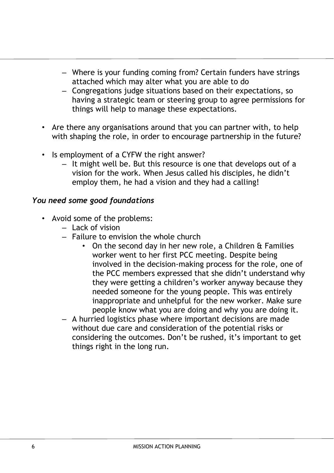- Where is your funding coming from? Certain funders have strings attached which may alter what you are able to do
- Congregations judge situations based on their expectations, so having a strategic team or steering group to agree permissions for things will help to manage these expectations.
- Are there any organisations around that you can partner with, to help with shaping the role, in order to encourage partnership in the future?
- Is employment of a CYFW the right answer?
	- It might well be. But this resource is one that develops out of a vision for the work. When Jesus called his disciples, he didn't employ them, he had a vision and they had a calling!

# *You need some good foundations*

- Avoid some of the problems:
	- Lack of vision
	- Failure to envision the whole church
		- On the second day in her new role, a Children & Families worker went to her first PCC meeting. Despite being involved in the decision-making process for the role, one of the PCC members expressed that she didn't understand why they were getting a children's worker anyway because they needed someone for the young people. This was entirely inappropriate and unhelpful for the new worker. Make sure people know what you are doing and why you are doing it.
	- A hurried logistics phase where important decisions are made without due care and consideration of the potential risks or considering the outcomes. Don't be rushed, it's important to get things right in the long run.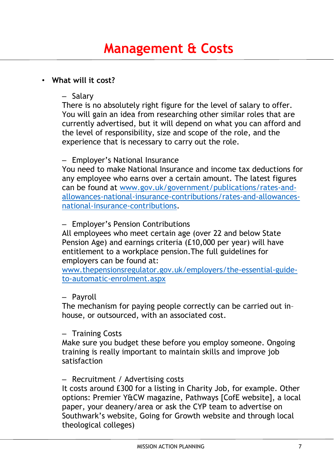### <span id="page-6-0"></span>• **What will it cost?**

### – Salary

There is no absolutely right figure for the level of salary to offer. You will gain an idea from researching other similar roles that are currently advertised, but it will depend on what you can afford and the level of responsibility, size and scope of the role, and the experience that is necessary to carry out the role.

### – Employer's National Insurance

You need to make National Insurance and income tax deductions for any employee who earns over a certain amount. The latest figures can be found at [www.gov.uk/government/publications/rates-and](http://www.gov.uk/government/publications/rates-and-allowances-national-insurance-contributions/rates-and-allowances-national-insurance-contributions)[allowances-national-insurance-contributions/rates-and-allowances](http://www.gov.uk/government/publications/rates-and-allowances-national-insurance-contributions/rates-and-allowances-national-insurance-contributions)[national-insurance-contributions.](http://www.gov.uk/government/publications/rates-and-allowances-national-insurance-contributions/rates-and-allowances-national-insurance-contributions)

# – Employer's Pension Contributions

All employees who meet certain age (over 22 and below State Pension Age) and earnings criteria (£10,000 per year) will have entitlement to a workplace pension.The full guidelines for employers can be found at:

[www.thepensionsregulator.gov.uk/employers/the-essential-guide](http://www.thepensionsregulator.gov.uk/employers/the-essential-guide-to-automatic-enrolment.aspx)[to-automatic-enrolment.aspx](http://www.thepensionsregulator.gov.uk/employers/the-essential-guide-to-automatic-enrolment.aspx)

#### – Payroll

The mechanism for paying people correctly can be carried out in– house, or outsourced, with an associated cost.

#### – Training Costs

Make sure you budget these before you employ someone. Ongoing training is really important to maintain skills and improve job satisfaction

#### – Recruitment / Advertising costs

It costs around £300 for a listing in Charity Job, for example. Other options: Premier Y&CW magazine, Pathways [CofE website], a local paper, your deanery/area or ask the CYP team to advertise on Southwark's website, Going for Growth website and through local theological colleges)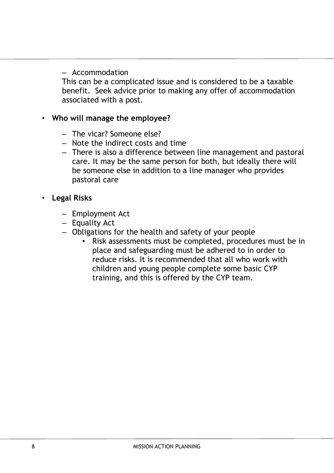– Accommodation

This can be a complicated issue and is considered to be a taxable benefit. Seek advice prior to making any offer of accommodation associated with a post.

### • **Who will manage the employee?**

- The vicar? Someone else?
- Note the indirect costs and time
- There is also a difference between line management and pastoral care. It may be the same person for both, but ideally there will be someone else in addition to a line manager who provides pastoral care

# • **Legal Risks**

- Employment Act
- Equality Act
- Obligations for the health and safety of your people
	- Risk assessments must be completed, procedures must be in place and safeguarding must be adhered to in order to reduce risks. It is recommended that all who work with children and young people complete some basic CYP training, and this is offered by the CYP team.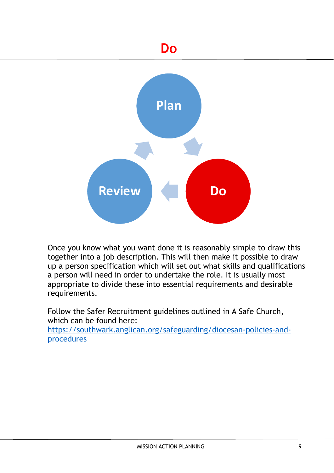# **Do**

<span id="page-8-0"></span>

Once you know what you want done it is reasonably simple to draw this together into a job description. This will then make it possible to draw up a person specification which will set out what skills and qualifications a person will need in order to undertake the role. It is usually most appropriate to divide these into essential requirements and desirable requirements.

Follow the Safer Recruitment guidelines outlined in A Safe Church, which can be found here:

[https://southwark.anglican.org/safeguarding/diocesan-policies-and](https://southwark.anglican.org/safeguarding/diocesan-policies-and-procedures)[procedures](https://southwark.anglican.org/safeguarding/diocesan-policies-and-procedures)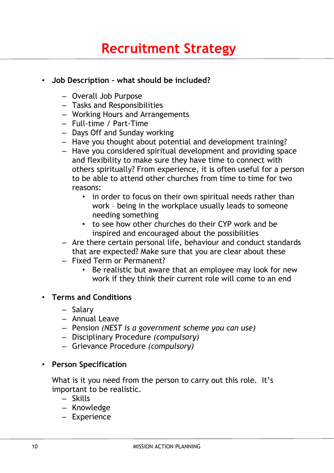# <span id="page-9-0"></span>• **Job Description – what should be included?**

- Overall Job Purpose
- Tasks and Responsibilities
- Working Hours and Arrangements
- Full-time / Part-Time
- Days Off and Sunday working
- Have you thought about potential and development training?
- Have you considered spiritual development and providing space and flexibility to make sure they have time to connect with others spiritually? From experience, it is often useful for a person to be able to attend other churches from time to time for two reasons:
	- in order to focus on their own spiritual needs rather than work – being in the workplace usually leads to someone needing something
	- to see how other churches do their CYP work and be inspired and encouraged about the possibilities
- Are there certain personal life, behaviour and conduct standards that are expected? Make sure that you are clear about these
- Fixed Term or Permanent?
	- Be realistic but aware that an employee may look for new work if they think their current role will come to an end

### • **Terms and Conditions**

- Salary
- Annual Leave
- Pension *(NEST is a government scheme you can use)*
- Disciplinary Procedure *(compulsory)*
- Grievance Procedure *(compulsory)*

#### • **Person Specification**

What is it you need from the person to carry out this role. It's important to be realistic.

- Skills
- Knowledge
- Experience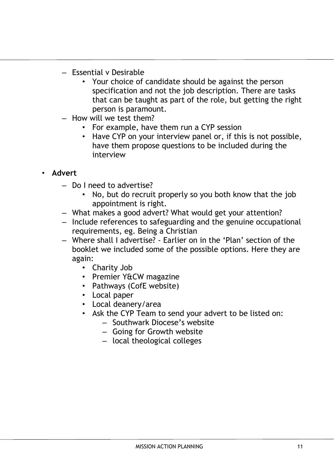- Essential v Desirable
	- Your choice of candidate should be against the person specification and not the job description. There are tasks that can be taught as part of the role, but getting the right person is paramount.
- How will we test them?
	- For example, have them run a CYP session
	- Have CYP on your interview panel or, if this is not possible, have them propose questions to be included during the interview

# • **Advert**

- Do I need to advertise?
	- No, but do recruit properly so you both know that the job appointment is right.
- What makes a good advert? What would get your attention?
- Include references to safeguarding and the genuine occupational requirements, eg. Being a Christian
- Where shall I advertise? Earlier on in the 'Plan' section of the booklet we included some of the possible options. Here they are again:
	- Charity Job
	- Premier Y&CW magazine
	- Pathways (CofE website)
	- Local paper
	- Local deanery/area
	- Ask the CYP Team to send your advert to be listed on:
		- Southwark Diocese's website
		- Going for Growth website
		- local theological colleges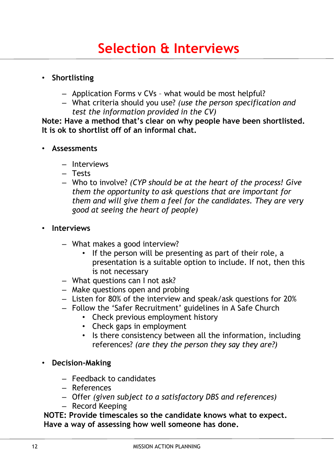### <span id="page-11-0"></span>• **Shortlisting**

- Application Forms v CVs what would be most helpful?
- What criteria should you use? *(use the person specification and test the information provided in the CV)*

**Note: Have a method that's clear on why people have been shortlisted. It is ok to shortlist off of an informal chat.**

### • **Assessments**

- Interviews
- Tests
- Who to involve? *(CYP should be at the heart of the process! Give them the opportunity to ask questions that are important for them and will give them a feel for the candidates. They are very good at seeing the heart of people)*

### • **Interviews**

- What makes a good interview?
	- If the person will be presenting as part of their role, a presentation is a suitable option to include. If not, then this is not necessary
- What questions can I not ask?
- Make questions open and probing
- Listen for 80% of the interview and speak/ask questions for 20%
- Follow the 'Safer Recruitment' guidelines in A Safe Church
	- Check previous employment history
	- Check gaps in employment
	- Is there consistency between all the information, including references? *(are they the person they say they are?)*
- **Decision-Making**
	- Feedback to candidates
	- References
	- Offer *(given subject to a satisfactory DBS and references)*
	- Record Keeping

**NOTE: Provide timescales so the candidate knows what to expect. Have a way of assessing how well someone has done.**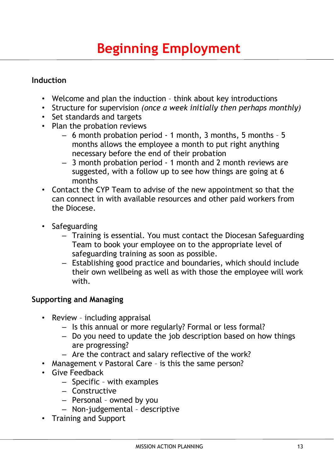# <span id="page-12-0"></span>**Induction**

- Welcome and plan the induction think about key introductions
- Structure for supervision *(once a week initially then perhaps monthly)*
- Set standards and targets
- Plan the probation reviews
	- 6 month probation period 1 month, 3 months, 5 months 5 months allows the employee a month to put right anything necessary before the end of their probation
	- 3 month probation period 1 month and 2 month reviews are suggested, with a follow up to see how things are going at 6 months
- Contact the CYP Team to advise of the new appointment so that the can connect in with available resources and other paid workers from the Diocese.
- Safeguarding
	- Training is essential. You must contact the Diocesan Safeguarding Team to book your employee on to the appropriate level of safeguarding training as soon as possible.
	- Establishing good practice and boundaries, which should include their own wellbeing as well as with those the employee will work with.

# **Supporting and Managing**

- Review including appraisal
	- Is this annual or more regularly? Formal or less formal?
	- Do you need to update the job description based on how things are progressing?
	- Are the contract and salary reflective of the work?
- Management v Pastoral Care is this the same person?
- Give Feedback
	- Specific with examples
	- Constructive
	- Personal owned by you
	- Non-judgemental descriptive
- Training and Support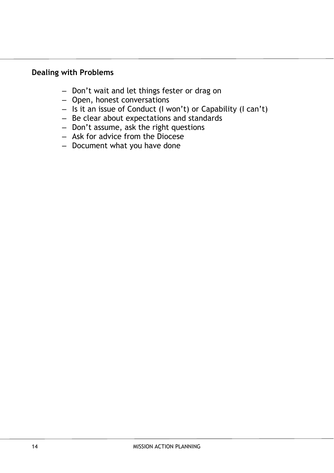### **Dealing with Problems**

- Don't wait and let things fester or drag on
- Open, honest conversations
- Is it an issue of Conduct (I won't) or Capability (I can't)
- Be clear about expectations and standards
- Don't assume, ask the right questions
- Ask for advice from the Diocese
- Document what you have done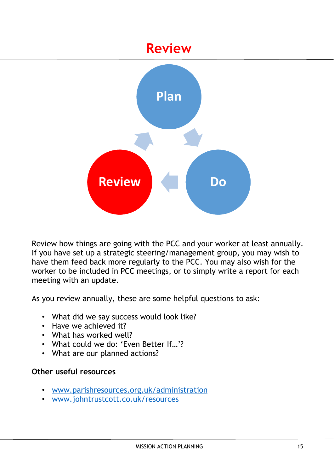# **Review**

<span id="page-14-0"></span>

Review how things are going with the PCC and your worker at least annually. If you have set up a strategic steering/management group, you may wish to have them feed back more regularly to the PCC. You may also wish for the worker to be included in PCC meetings, or to simply write a report for each meeting with an update.

As you review annually, these are some helpful questions to ask:

- What did we say success would look like?
- Have we achieved it?
- What has worked well?
- What could we do: 'Even Better If…'?
- What are our planned actions?

### **Other useful resources**

- [www.parishresources.org.uk/administration](http://www.parishresources.org.uk/administration)
- [www.johntrustcott.co.uk/resources](http://www.johntrustcott.co.uk/resources)